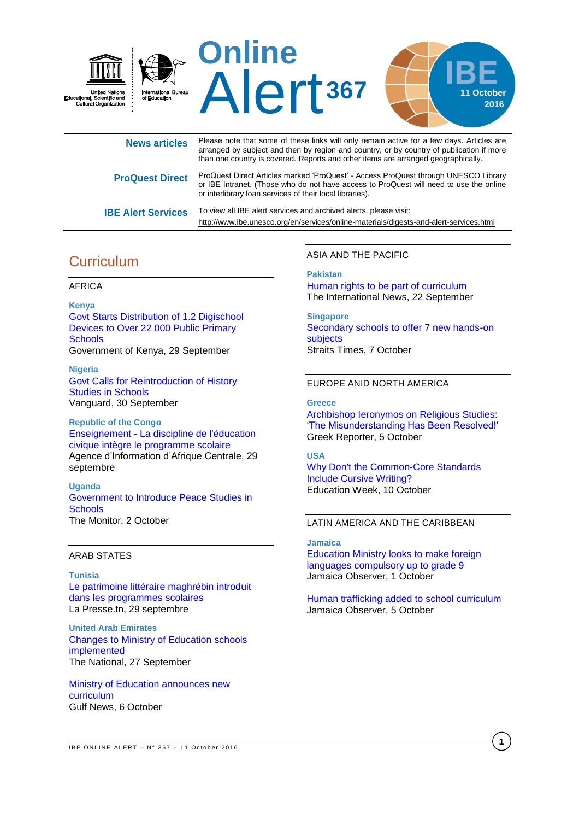

| <b>News articles</b>      | Please note that some of these links will only remain active for a few days. Articles are<br>arranged by subject and then by region and country, or by country of publication if more<br>than one country is covered. Reports and other items are arranged geographically. |
|---------------------------|----------------------------------------------------------------------------------------------------------------------------------------------------------------------------------------------------------------------------------------------------------------------------|
| <b>ProQuest Direct</b>    | ProQuest Direct Articles marked 'ProQuest' - Access ProQuest through UNESCO Library<br>or IBE Intranet. (Those who do not have access to ProQuest will need to use the online<br>or interlibrary loan services of their local libraries).                                  |
| <b>IBE Alert Services</b> | To view all IBE alert services and archived alerts, please visit:<br>http://www.ibe.unesco.org/en/services/online-materials/digests-and-alert-services.html                                                                                                                |

## **Curriculum**

#### AFRICA

**Kenya** [Govt Starts Distribution of 1.2 Digischool](http://allafrica.com/stories/201609300745.html) [Devices to Over 22 000 Public Primary](http://allafrica.com/stories/201609300745.html)  **[Schools](http://allafrica.com/stories/201609300745.html)** Government of Kenya, 29 September

**Nigeria** [Govt Calls for Reintroduction of History](http://allafrica.com/stories/201609300537.html)  [Studies in Schools](http://allafrica.com/stories/201609300537.html) Vanguard, 30 September

**Republic of the Congo** Enseignement - [La discipline de l'éducation](http://fr.allafrica.com/stories/201609290877.html)  [civique intègre le programme scolaire](http://fr.allafrica.com/stories/201609290877.html) Agence d'Information d'Afrique Centrale, 29 septembre

**Uganda** [Government to Introduce Peace Studies in](http://allafrica.com/stories/201610020183.html)  **[Schools](http://allafrica.com/stories/201610020183.html)** The Monitor, 2 October

### ARAB STATES

**Tunisia** [Le patrimoine littéraire maghrébin introduit](http://fr.allafrica.com/stories/201609290818.html)  [dans les programmes scolaires](http://fr.allafrica.com/stories/201609290818.html) La Presse.tn, 29 septembre

**United Arab Emirates** [Changes to Ministry of Education schools](http://www.thenational.ae/uae/education/changes-to-ministry-of-education-schools-implemented)  [implemented](http://www.thenational.ae/uae/education/changes-to-ministry-of-education-schools-implemented) The National, 27 September

[Ministry of Education announces new](http://gulfnews.com/news/uae/education/ministry-of-education-announces-new-curriculum-1.1908029)  [curriculum](http://gulfnews.com/news/uae/education/ministry-of-education-announces-new-curriculum-1.1908029) Gulf News, 6 October

ASIA AND THE PACIFIC

**Pakistan** [Human rights to be part of curriculum](https://www.thenews.com.pk/print/151612-Human-rights-to-be-part-of-curriculum) The International News, 22 September

**Singapore** [Secondary schools to offer 7 new hands-on](http://www.straitstimes.com/singapore/education/schools-to-offer-7-new-hands-on-subjects)  [subjects](http://www.straitstimes.com/singapore/education/schools-to-offer-7-new-hands-on-subjects) Straits Times, 7 October

### EUROPE ANID NORTH AMERICA

**Greece** [Archbishop Ieronymos on Religious Studies:](http://greece.greekreporter.com/2016/10/05/archbishop-ieronymos-on-religious-studies-the-misunderstanding-has-been-resolved/)  ['The Misunderstanding Has Been Resolved!'](http://greece.greekreporter.com/2016/10/05/archbishop-ieronymos-on-religious-studies-the-misunderstanding-has-been-resolved/) Greek Reporter, 5 October

**USA** [Why Don't the Common-Core Standards](http://blogs.edweek.org/edweek/curriculum/2016/10/why_dont_the_common-core_standards_include_cursive_writing.html?_ga=1.53685224.1707314487.1476127370)  [Include Cursive Writing?](http://blogs.edweek.org/edweek/curriculum/2016/10/why_dont_the_common-core_standards_include_cursive_writing.html?_ga=1.53685224.1707314487.1476127370) Education Week, 10 October

### LATIN AMERICA AND THE CARIBBEAN

**Jamaica** [Education Ministry looks to make foreign](http://www.jamaicaobserver.com/news/Education-Ministry-looks-to-make-foreign-languages-compulsory-up-to-grade-9)  [languages compulsory up to grade 9](http://www.jamaicaobserver.com/news/Education-Ministry-looks-to-make-foreign-languages-compulsory-up-to-grade-9) Jamaica Observer, 1 October

[Human trafficking added to school curriculum](http://www.jamaicaobserver.com/news/Human-trafficking-added-to-curriculum) Jamaica Observer, 5 October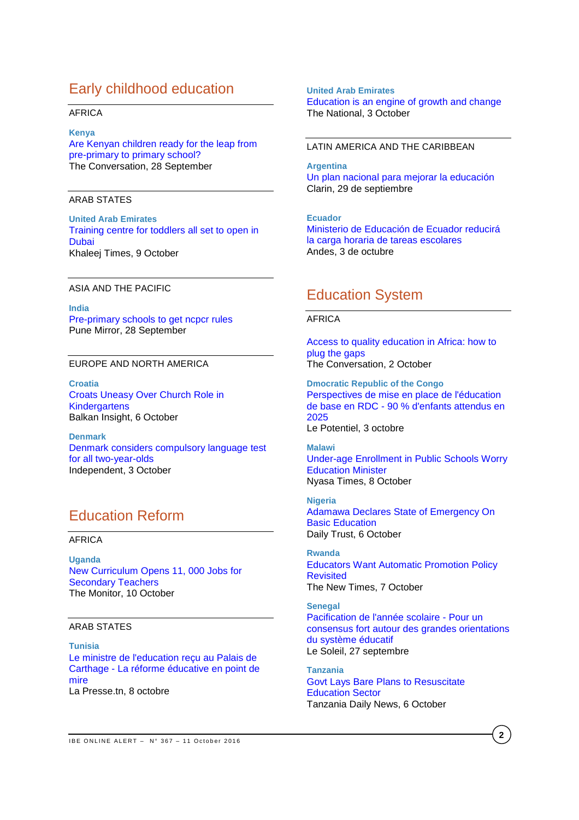## Early childhood education

#### AFRICA

#### **Kenya**

[Are Kenyan children ready for the leap from](https://theconversation.com/are-kenyan-children-ready-for-the-leap-from-pre-primary-to-primary-school-65584)  [pre-primary to primary](https://theconversation.com/are-kenyan-children-ready-for-the-leap-from-pre-primary-to-primary-school-65584) school? The Conversation, 28 September

#### ARAB STATES

**United Arab Emirates** [Training centre for toddlers all set to open in](http://www.khaleejtimes.com/nation/education/training-centre-for-toddlers-all-set-to-open-in-dubai)  [Dubai](http://www.khaleejtimes.com/nation/education/training-centre-for-toddlers-all-set-to-open-in-dubai) Khaleej Times, 9 October

#### ASIA AND THE PACIFIC

**India** [Pre-primary schools to get ncpcr rules](http://www.punemirror.in/pune/civic/Pre-primary-schools-to-get-NCPCR-rules/articleshow/54551069.cms) Pune Mirror, 28 September

#### EUROPE AND NORTH AMERICA

**Croatia** [Croats Uneasy Over Church Role in](http://www.balkaninsight.com/en/article/religion-classes-in-kindergartens-leave-croats-divided-10-05-2016)  **[Kindergartens](http://www.balkaninsight.com/en/article/religion-classes-in-kindergartens-leave-croats-divided-10-05-2016)** Balkan Insight, 6 October

**Denmark** [Denmark considers compulsory language test](http://www.independent.co.uk/news/world/europe/denmark-compulsory-language-test-all-two-year-olds-a7342091.html)  [for all two-year-olds](http://www.independent.co.uk/news/world/europe/denmark-compulsory-language-test-all-two-year-olds-a7342091.html) Independent, 3 October

# Education Reform

## AFRICA

**Uganda** [New Curriculum Opens 11, 000 Jobs for](http://allafrica.com/stories/201610100054.html)  [Secondary Teachers](http://allafrica.com/stories/201610100054.html) The Monitor, 10 October

## ARAB STATES

**Tunisia** [Le ministre de l'education](http://fr.allafrica.com/stories/201610080352.html) reçu au Palais de Carthage - [La réforme éducative en point de](http://fr.allafrica.com/stories/201610080352.html)  [mire](http://fr.allafrica.com/stories/201610080352.html) La Presse.tn, 8 octobre

#### **10 October**  [Education is an engine of growth and change](http://www.thenational.ae/opinion/comment/education-is-an-engine-of-growth-and-change)<br>— **United Arab Emirates** The National, 3 October

## LATIN AMERICA AND THE CARIBBEAN

**Argentina** [Un plan nacional para mejorar la educación](http://www.clarin.com/sociedad/plan-nacional-mejorar-educacion_0_1659434185.html) Clarin, 29 de septiembre

**Ecuador** [Ministerio de Educación de Ecuador reducirá](http://www.andes.info.ec/es/noticias/ministerio-educacion-ecuador-reducira-carga-horaria-tareas-escolares.html)  [la carga horaria de tareas escolares](http://www.andes.info.ec/es/noticias/ministerio-educacion-ecuador-reducira-carga-horaria-tareas-escolares.html) Andes, 3 de octubre

## Education System

### AFRICA

[Access to quality education in Africa: how to](https://theconversation.com/access-to-quality-education-in-africa-how-to-plug-the-gaps-66158)  [plug the](https://theconversation.com/access-to-quality-education-in-africa-how-to-plug-the-gaps-66158) gaps The Conversation, 2 October

**Dmocratic Republic of the Congo** [Perspectives de mise en place de l'éducation](http://fr.allafrica.com/stories/201610031065.html)  de base en RDC - [90 % d'enfants attendus en](http://fr.allafrica.com/stories/201610031065.html)  [2025](http://fr.allafrica.com/stories/201610031065.html) Le Potentiel, 3 octobre

#### **Malawi**

[Under-age Enrollment in Public Schools Worry](http://allafrica.com/stories/201610090004.html)  [Education Minister](http://allafrica.com/stories/201610090004.html) Nyasa Times, 8 October

**Nigeria** [Adamawa Declares State of Emergency On](http://allafrica.com/stories/201610060185.html)  [Basic Education](http://allafrica.com/stories/201610060185.html) Daily Trust, 6 October

**Rwanda** [Educators Want Automatic Promotion Policy](http://allafrica.com/stories/201610070175.html)  **[Revisited](http://allafrica.com/stories/201610070175.html)** The New Times, 7 October

**Senegal** [Pacification de l'année scolaire -](http://fr.allafrica.com/stories/201609271269.html) Pour un [consensus fort autour des grandes orientations](http://fr.allafrica.com/stories/201609271269.html)  [du système éducatif](http://fr.allafrica.com/stories/201609271269.html) Le Soleil, 27 septembre

**Tanzania** [Govt Lays Bare Plans to Resuscitate](http://allafrica.com/stories/201610060806.html)  [Education Sector](http://allafrica.com/stories/201610060806.html) Tanzania Daily News, 6 October

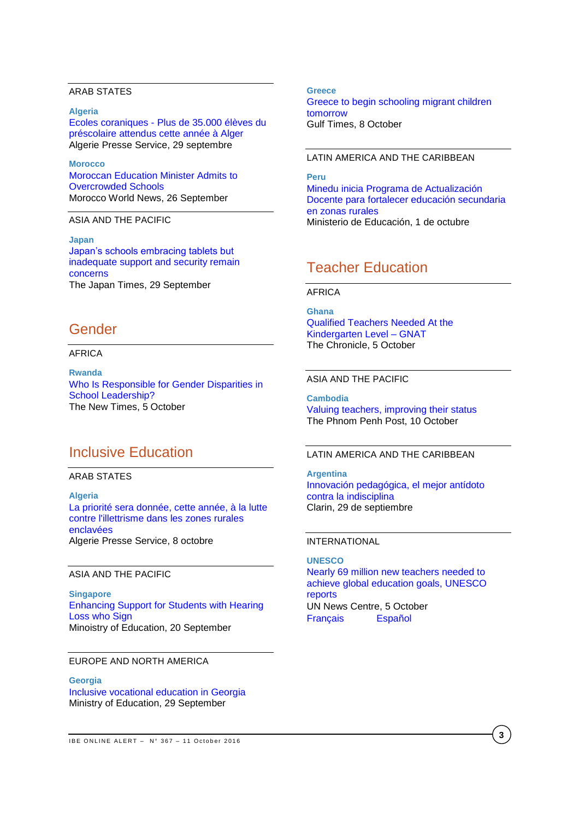## ARAB STATES

**Algeria** Ecoles coraniques - [Plus de 35.000 élèves du](http://fr.allafrica.com/stories/201609300657.html)  [préscolaire attendus cette année à Alger](http://fr.allafrica.com/stories/201609300657.html) Algerie Presse Service, 29 septembre

**Morocco** [Moroccan Education Minister Admits to](https://www.moroccoworldnews.com/2016/09/197387/moroccan-education-minister-admits-to-overcrowded-schools/)  [Overcrowded Schools](https://www.moroccoworldnews.com/2016/09/197387/moroccan-education-minister-admits-to-overcrowded-schools/) Morocco World News, 26 September

ASIA AND THE PACIFIC

**Japan** [Japan's schools embracing tablets but](http://www.japantimes.co.jp/news/2016/09/29/national/japans-schools-embracing-tablets-inadequate-support-security-remain-concerns/#.V_vffmCdKQs)  [inadequate support and security remain](http://www.japantimes.co.jp/news/2016/09/29/national/japans-schools-embracing-tablets-inadequate-support-security-remain-concerns/#.V_vffmCdKQs)  [concerns](http://www.japantimes.co.jp/news/2016/09/29/national/japans-schools-embracing-tablets-inadequate-support-security-remain-concerns/#.V_vffmCdKQs) The Japan Times, 29 September

## Gender

#### AFRICA

**Rwanda**  [Who Is Responsible for Gender Disparities in](http://allafrica.com/stories/201610050802.html)  [School Leadership?](http://allafrica.com/stories/201610050802.html) The New Times, 5 October

## Inclusive Education

ARAB STATES

**Algeria** [La priorité sera donnée, cette année, à la lutte](http://fr.allafrica.com/stories/201610090092.html)  [contre l'illettrisme dans les zones rurales](http://fr.allafrica.com/stories/201610090092.html)  [enclavées](http://fr.allafrica.com/stories/201610090092.html) Algerie Presse Service, 8 octobre

#### ASIA AND THE PACIFIC

**Singapore** [Enhancing Support for Students with Hearing](https://www.moe.gov.sg/news/press-releases/Enhancing-Support-for-Students-with-Hearing-Loss-who-Sign)  [Loss who Sign](https://www.moe.gov.sg/news/press-releases/Enhancing-Support-for-Students-with-Hearing-Loss-who-Sign) Minoistry of Education, 20 September

### EUROPE AND NORTH AMERICA

**Georgia** [Inclusive vocational education in Georgia](http://www.mes.gov.ge/content.php?id=6725&lang=eng) Ministry of Education, 29 September

**Greece** [Greece to begin schooling migrant children](http://www.gulf-times.com/story/516680/Greece-to-begin-schooling-migrant-children-tomorrow)  [tomorrow](http://www.gulf-times.com/story/516680/Greece-to-begin-schooling-migrant-children-tomorrow) Gulf Times, 8 October

## LATIN AMERICA AND THE CARIBBEAN

**Peru** [Minedu inicia Programa de Actualización](http://www.minedu.gob.pe/n/noticia.php?id=39907)  [Docente para fortalecer educación secundaria](http://www.minedu.gob.pe/n/noticia.php?id=39907) [en zonas rurales](http://www.minedu.gob.pe/n/noticia.php?id=39907) Ministerio de Educación, 1 de octubre

## Teacher Education

#### AFRICA

**Ghana** [Qualified Teachers Needed At the](http://allafrica.com/stories/201610061149.html)  [Kindergarten Level –](http://allafrica.com/stories/201610061149.html) GNAT The Chronicle, 5 October

## ASIA AND THE PACIFIC

**Cambodia** [Valuing teachers, improving their status](http://www.phnompenhpost.com/analysis-and-op-ed/valuing-teachers-improving-their-status) The Phnom Penh Post, 10 October

## LATIN AMERICA AND THE CARIBBEAN

**Argentina** [Innovación pedagógica, el mejor antídoto](http://www.clarin.com/sociedad/Innovacion-pedagogica-mejor-antidoto-indisciplina_0_1659434188.html)  [contra la indisciplina](http://www.clarin.com/sociedad/Innovacion-pedagogica-mejor-antidoto-indisciplina_0_1659434188.html) Clarin, 29 de septiembre

#### INTERNATIONAL

**UNESCO** [Nearly 69 million new teachers needed to](http://www.un.org/apps/news/story.asp?NewsID=55210#.V_pj8WCdKQs)  [achieve global education goals, UNESCO](http://www.un.org/apps/news/story.asp?NewsID=55210#.V_pj8WCdKQs)  [reports](http://www.un.org/apps/news/story.asp?NewsID=55210#.V_pj8WCdKQs) UN News Centre, 5 October [Français](http://www.un.org/apps/newsFr/storyF.asp?NewsID=38240#.V_plWmCdKQu) [Español](http://www.un.org/spanish/News/story.asp?newsID=35993#.V_pk-GCdKQs)

**3**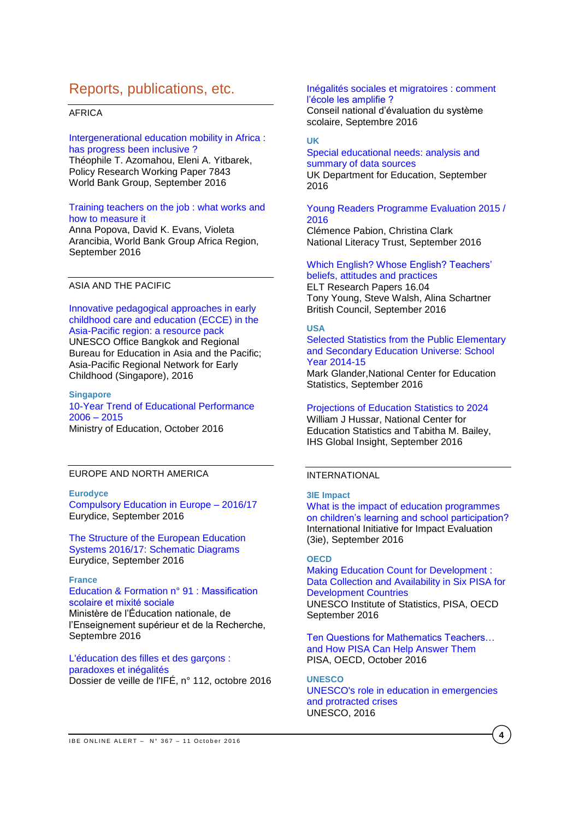## Reports, publications, etc.

### AFRICA

#### [Intergenerational education mobility in Africa :](http://documents.worldbank.org/curated/en/379961475169190879/pdf/WPS7843.pdf)  [has progress been inclusive ?](http://documents.worldbank.org/curated/en/379961475169190879/pdf/WPS7843.pdf)

Théophile T. Azomahou, Eleni A. Yitbarek, Policy Research Working Paper 7843 World Bank Group, September 2016

#### [Training teachers on the job : what works and](http://documents.worldbank.org/curated/en/122031474915232609/pdf/WPS7834.pdf)  [how to measure it](http://documents.worldbank.org/curated/en/122031474915232609/pdf/WPS7834.pdf)

Anna Popova, David K. Evans, Violeta Arancibia, World Bank Group Africa Region, September 2016

## ASIA AND THE PACIFIC

[Innovative pedagogical approaches in early](http://unesdoc.unesco.org/images/0024/002460/246050e.pdf)  [childhood care and education \(ECCE\) in the](http://unesdoc.unesco.org/images/0024/002460/246050e.pdf)  [Asia-Pacific region: a resource pack](http://unesdoc.unesco.org/images/0024/002460/246050e.pdf) UNESCO Office Bangkok and Regional Bureau for Education in Asia and the Pacific; Asia-Pacific Regional Network for Early Childhood (Singapore), 2016

#### **Singapore** [10-Year Trend of Educational Performance](https://www.moe.gov.sg/news/press-releases/10-year-trend-of-educational-performance-2006--2015)  [2006 –](https://www.moe.gov.sg/news/press-releases/10-year-trend-of-educational-performance-2006--2015) 2015 Ministry of Education, October 2016

### EUROPE AND NORTH AMERICA

### **Eurodyce**

[Compulsory Education in Europe –](https://webgate.ec.europa.eu/fpfis/mwikis/eurydice/images/2/24/Compulsory_Education_in_Europe_2016_2017.pdf) 2016/17 Eurydice, September 2016

[The Structure of the European Education](https://webgate.ec.europa.eu/fpfis/mwikis/eurydice/images/9/9d/Structure_of_education_systems_2016_17.pdf)  [Systems 2016/17: Schematic Diagrams](https://webgate.ec.europa.eu/fpfis/mwikis/eurydice/images/9/9d/Structure_of_education_systems_2016_17.pdf) Eurydice, September 2016

## **France**

[Education & Formation n° 91](http://cache.media.education.gouv.fr/file/revue_91/05/4/depp-2016-EF-91_635054.pdf) : Massification [scolaire et mixité sociale](http://cache.media.education.gouv.fr/file/revue_91/05/4/depp-2016-EF-91_635054.pdf)  Ministère de l'Éducation nationale, de l'Enseignement supérieur et de la Recherche, Septembre 2016

[L'éducation des filles et des garçons :](http://ife.ens-lyon.fr/vst/DA-Veille/112-octobre-2016.pdf)  [paradoxes et inégalités](http://ife.ens-lyon.fr/vst/DA-Veille/112-octobre-2016.pdf) Dossier de veille de l'IFÉ, n° 112, octobre 2016

#### [Inégalités sociales et migratoires : comment](http://www.cnesco.fr/wp-content/uploads/2016/09/270916_Rapport_Inegalites.pdf)  [l'école les amplifie ?](http://www.cnesco.fr/wp-content/uploads/2016/09/270916_Rapport_Inegalites.pdf)

Conseil national d'évaluation du système scolaire, Septembre 2016

#### **UK**

#### [Special educational needs: analysis and](https://www.gov.uk/government/uploads/system/uploads/attachment_data/file/555075/Special_educational_needs_analysis_and_data_sources.pdf)  [summary of data sources](https://www.gov.uk/government/uploads/system/uploads/attachment_data/file/555075/Special_educational_needs_analysis_and_data_sources.pdf) UK Department for Education, September 2016

## [Young Readers Programme Evaluation 2015 /](http://www.literacytrust.org.uk/assets/0003/5000/Young_Readers_Programme_evaluation_2015-16_final_report.pdf)  [2016](http://www.literacytrust.org.uk/assets/0003/5000/Young_Readers_Programme_evaluation_2015-16_final_report.pdf)

Clémence Pabion, Christina Clark National Literacy Trust, September 2016

#### [Which English? Whose](http://www.teachingenglish.org.uk/sites/teacheng/files/G141%20ELTRA%20Which%20English%EF%80%A5%20Whose%20English%EF%80%A5%20Teachers%E2%80%99%20beliefs%20attitudes%20and%20practices_FINAL.pdf) English? Teachers' [beliefs, attitudes and practices](http://www.teachingenglish.org.uk/sites/teacheng/files/G141%20ELTRA%20Which%20English%EF%80%A5%20Whose%20English%EF%80%A5%20Teachers%E2%80%99%20beliefs%20attitudes%20and%20practices_FINAL.pdf)

ELT Research Papers 16.04 Tony Young, Steve Walsh, Alina Schartner British Council, September 2016

### **USA**

[Selected Statistics from the Public Elementary](http://nces.ed.gov/pubs2016/2016076.pdf) [and Secondary Education Universe: School](http://nces.ed.gov/pubs2016/2016076.pdf)  [Year 2014-15](http://nces.ed.gov/pubs2016/2016076.pdf)

Mark Glander,National Center for Education Statistics, September 2016

### [Projections of Education Statistics to 2024](http://nces.ed.gov/pubs2016/2016013.pdf)

William J Hussar, National Center for Education Statistics and Tabitha M. Bailey, IHS Global Insight, September 2016

### INTERNATIONAL

## **3IE Impact**

[What is the impact of education programmes](http://www.3ieimpact.org/media/filer_public/2016/09/23/srs7_eer_policy_brief-web.pdf)  [on children's learning and school participation?](http://www.3ieimpact.org/media/filer_public/2016/09/23/srs7_eer_policy_brief-web.pdf)  International Initiative for Impact Evaluation (3ie), September 2016

## **OECD**

[Making Education Count for Development](http://www.oecd-ilibrary.org/docserver/download/9816031e.pdf?expires=1475681118&id=id&accname=guest&checksum=A7A21951F968093E22AA558B0937FD24) : [Data Collection and Availability in Six PISA for](http://www.oecd-ilibrary.org/docserver/download/9816031e.pdf?expires=1475681118&id=id&accname=guest&checksum=A7A21951F968093E22AA558B0937FD24)  [Development Countries](http://www.oecd-ilibrary.org/docserver/download/9816031e.pdf?expires=1475681118&id=id&accname=guest&checksum=A7A21951F968093E22AA558B0937FD24) UNESCO Institute of Statistics, PISA, OECD September 2016

[Ten Questions for Mathematics Teachers…](http://www.oecd-ilibrary.org/docserver/download/9816051e.pdf?expires=1476138034&id=id&accname=guest&checksum=BA9A792F14462BB5E5FDD286D20026A0)  [and How PISA Can Help Answer Them](http://www.oecd-ilibrary.org/docserver/download/9816051e.pdf?expires=1476138034&id=id&accname=guest&checksum=BA9A792F14462BB5E5FDD286D20026A0) PISA, OECD, October 2016

## **UNESCO**

[UNESCO's role in education in emergencies](http://unesdoc.unesco.org/images/0024/002460/246095e.pdf)  [and protracted crises](http://unesdoc.unesco.org/images/0024/002460/246095e.pdf) UNESCO, 2016